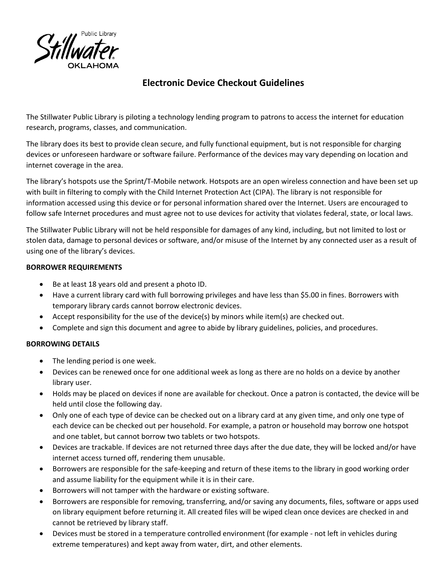

# **Electronic Device Checkout Guidelines**

The Stillwater Public Library is piloting a technology lending program to patrons to access the internet for education research, programs, classes, and communication.

The library does its best to provide clean secure, and fully functional equipment, but is not responsible for charging devices or unforeseen hardware or software failure. Performance of the devices may vary depending on location and internet coverage in the area.

The library's hotspots use the Sprint/T-Mobile network. Hotspots are an open wireless connection and have been set up with built in filtering to comply with the Child Internet Protection Act (CIPA). The library is not responsible for information accessed using this device or for personal information shared over the Internet. Users are encouraged to follow safe Internet procedures and must agree not to use devices for activity that violates federal, state, or local laws.

The Stillwater Public Library will not be held responsible for damages of any kind, including, but not limited to lost or stolen data, damage to personal devices or software, and/or misuse of the Internet by any connected user as a result of using one of the library's devices.

## **BORROWER REQUIREMENTS**

- Be at least 18 years old and present a photo ID.
- Have a current library card with full borrowing privileges and have less than \$5.00 in fines. Borrowers with temporary library cards cannot borrow electronic devices.
- Accept responsibility for the use of the device(s) by minors while item(s) are checked out.
- Complete and sign this document and agree to abide by library guidelines, policies, and procedures.

## **BORROWING DETAILS**

- The lending period is one week.
- Devices can be renewed once for one additional week as long as there are no holds on a device by another library user.
- Holds may be placed on devices if none are available for checkout. Once a patron is contacted, the device will be held until close the following day.
- Only one of each type of device can be checked out on a library card at any given time, and only one type of each device can be checked out per household. For example, a patron or household may borrow one hotspot and one tablet, but cannot borrow two tablets or two hotspots.
- Devices are trackable. If devices are not returned three days after the due date, they will be locked and/or have internet access turned off, rendering them unusable.
- Borrowers are responsible for the safe-keeping and return of these items to the library in good working order and assume liability for the equipment while it is in their care.
- Borrowers will not tamper with the hardware or existing software.
- Borrowers are responsible for removing, transferring, and/or saving any documents, files, software or apps used on library equipment before returning it. All created files will be wiped clean once devices are checked in and cannot be retrieved by library staff.
- Devices must be stored in a temperature controlled environment (for example not left in vehicles during extreme temperatures) and kept away from water, dirt, and other elements.